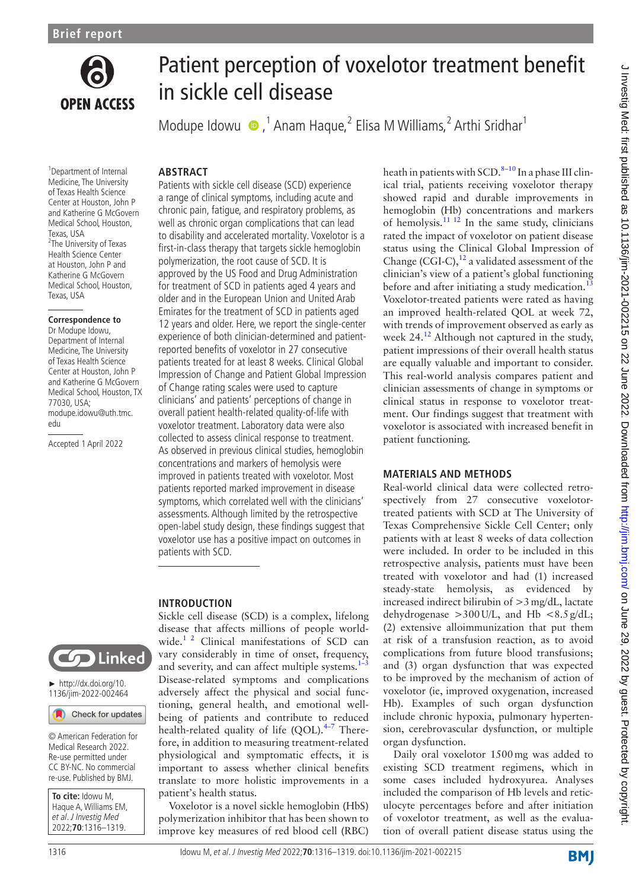

# Patient perception of voxelotor treatment benefit in sickle cell disease

Modupe Idowu  $\bullet$ ,<sup>1</sup> Anam Haque,<sup>2</sup> Elisa M Williams,<sup>2</sup> Arthi Sridhar<sup>1</sup>

#### 1 Department of Internal Medicine, The University of Texas Health Science Center at Houston, John P and Katherine G McGovern Medical School, Houston, Texas, USA 2 The University of Texas Health Science Center at Houston, John P and Katherine G McGovern Medical School, Houston, Texas, USA

#### **Correspondence to**

Dr Modupe Idowu, Department of Internal Medicine, The University of Texas Health Science Center at Houston, John P and Katherine G McGovern Medical School, Houston, TX 77030, USA; modupe.idowu@uth.tmc. edu

Accepted 1 April 2022

# **ABSTRACT**

Patients with sickle cell disease (SCD) experience a range of clinical symptoms, including acute and chronic pain, fatigue, and respiratory problems, as well as chronic organ complications that can lead to disability and accelerated mortality. Voxelotor is a first-in-class therapy that targets sickle hemoglobin polymerization, the root cause of SCD. It is approved by the US Food and Drug Administration for treatment of SCD in patients aged 4 years and older and in the European Union and United Arab Emirates for the treatment of SCD in patients aged 12 years and older. Here, we report the single-center experience of both clinician-determined and patientreported benefits of voxelotor in 27 consecutive patients treated for at least 8 weeks. Clinical Global Impression of Change and Patient Global Impression of Change rating scales were used to capture clinicians' and patients' perceptions of change in overall patient health-related quality-of-life with voxelotor treatment. Laboratory data were also collected to assess clinical response to treatment. As observed in previous clinical studies, hemoglobin concentrations and markers of hemolysis were improved in patients treated with voxelotor. Most patients reported marked improvement in disease symptoms, which correlated well with the clinicians' assessments. Although limited by the retrospective open-label study design, these findings suggest that voxelotor use has a positive impact on outcomes in patients with SCD.

# **INTRODUCTION**



► [http://dx.doi.org/10.](http://dx.doi.org/10.1136/jim-2022-002464) [1136/jim-2022-002464](http://dx.doi.org/10.1136/jim-2022-002464)

Check for updates

© American Federation for Medical Research 2022. Re-use permitted under CC BY-NC. No commercial re-use. Published by BMJ.

| To cite: Idowu M.     |
|-----------------------|
| Haque A, Williams EM, |
| et al. J Investig Med |
| 2022;70:1316-1319.    |

Sickle cell disease (SCD) is a complex, lifelong disease that affects millions of people worldwide. $1^2$  Clinical manifestations of SCD can vary considerably in time of onset, frequency, and severity, and can affect multiple systems. $1-3$ Disease-related symptoms and complications adversely affect the physical and social functioning, general health, and emotional wellbeing of patients and contribute to reduced health-related quality of life (QOL).<sup>4-7</sup> Therefore, in addition to measuring treatment-related physiological and symptomatic effects, it is important to assess whether clinical benefits translate to more holistic improvements in a patient's health status.

Voxelotor is a novel sickle hemoglobin (HbS) polymerization inhibitor that has been shown to improve key measures of red blood cell (RBC) heath in patients with SCD. $8-10$  In a phase III clinical trial, patients receiving voxelotor therapy showed rapid and durable improvements in hemoglobin (Hb) concentrations and markers of hemolysis. $\frac{11 \text{ } 12 \text{ }}{11 \text{ } 12 \text{ }}$  In the same study, clinicians rated the impact of voxelotor on patient disease status using the Clinical Global Impression of Change (CGI-C), $^{12}$  a validated assessment of the clinician's view of a patient's global functioning before and after initiating a study medication.<sup>1</sup> Voxelotor-treated patients were rated as having an improved health-related QOL at week 72, with trends of improvement observed as early as week  $24.<sup>12</sup>$  $24.<sup>12</sup>$  $24.<sup>12</sup>$  Although not captured in the study, patient impressions of their overall health status are equally valuable and important to consider. This real-world analysis compares patient and clinician assessments of change in symptoms or clinical status in response to voxelotor treatment. Our findings suggest that treatment with voxelotor is associated with increased benefit in patient functioning.

# **MATERIALS AND METHODS**

Real-world clinical data were collected retrospectively from 27 consecutive voxelotortreated patients with SCD at The University of Texas Comprehensive Sickle Cell Center; only patients with at least 8 weeks of data collection were included. In order to be included in this retrospective analysis, patients must have been treated with voxelotor and had (1) increased steady-state hemolysis, as evidenced by increased indirect bilirubin of  $>3$  mg/dL, lactate dehydrogenase  $>300$  U/L, and Hb <8.5 g/dL; (2) extensive alloimmunization that put them at risk of a transfusion reaction, as to avoid complications from future blood transfusions; and (3) organ dysfunction that was expected to be improved by the mechanism of action of voxelotor (ie, improved oxygenation, increased Hb). Examples of such organ dysfunction include chronic hypoxia, pulmonary hypertension, cerebrovascular dysfunction, or multiple organ dysfunction.

Daily oral voxelotor 1500mg was added to existing SCD treatment regimens, which in some cases included hydroxyurea. Analyses included the comparison of Hb levels and reticulocyte percentages before and after initiation of voxelotor treatment, as well as the evaluation of overall patient disease status using the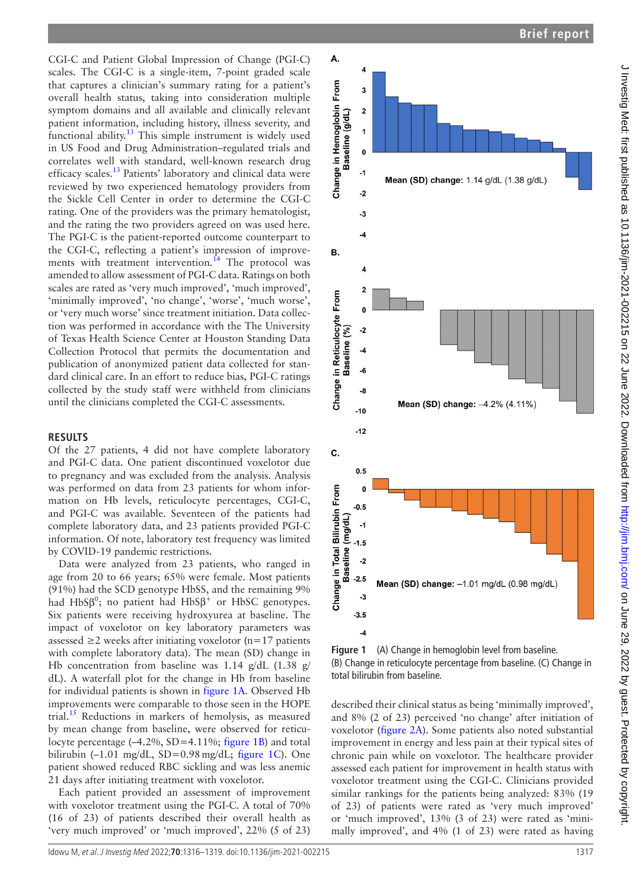CGI-C and Patient Global Impression of Change (PGI-C) scales. The CGI-C is a single-item, 7-point graded scale that captures a clinician's summary rating for a patient's overall health status, taking into consideration multiple symptom domains and all available and clinically relevant patient information, including history, illness severity, and functional ability.<sup>13</sup> This simple instrument is widely used in US Food and Drug Administration–regulated trials and correlates well with standard, well-known research drug efficacy scales.<sup>13</sup> Patients' laboratory and clinical data were reviewed by two experienced hematology providers from the Sickle Cell Center in order to determine the CGI-C rating. One of the providers was the primary hematologist, and the rating the two providers agreed on was used here. The PGI-C is the patient-reported outcome counterpart to the CGI-C, reflecting a patient's impression of improvements with treatment intervention.<sup>14</sup> The protocol was amended to allow assessment of PGI-C data. Ratings on both scales are rated as 'very much improved', 'much improved', 'minimally improved', 'no change', 'worse', 'much worse', or 'very much worse' since treatment initiation. Data collection was performed in accordance with the The University of Texas Health Science Center at Houston Standing Data Collection Protocol that permits the documentation and publication of anonymized patient data collected for standard clinical care. In an effort to reduce bias, PGI-C ratings collected by the study staff were withheld from clinicians until the clinicians completed the CGI-C assessments.

#### **RESULTS**

Of the 27 patients, 4 did not have complete laboratory and PGI-C data. One patient discontinued voxelotor due to pregnancy and was excluded from the analysis. Analysis was performed on data from 23 patients for whom information on Hb levels, reticulocyte percentages, CGI-C, and PGI-C was available. Seventeen of the patients had complete laboratory data, and 23 patients provided PGI-C information. Of note, laboratory test frequency was limited by COVID-19 pandemic restrictions.

Data were analyzed from 23 patients, who ranged in age from 20 to 66 years; 65% were female. Most patients (91%) had the SCD genotype HbSS, and the remaining 9% had HbS $\beta^0$ ; no patient had HbS $\beta^+$  or HbSC genotypes. Six patients were receiving hydroxyurea at baseline. The impact of voxelotor on key laboratory parameters was assessed ≥2 weeks after initiating voxelotor (n=17 patients with complete laboratory data). The mean (SD) change in Hb concentration from baseline was 1.14 g/dL (1.38 g/ dL). A waterfall plot for the change in Hb from baseline for individual patients is shown in [figure](#page-1-0) 1A. Observed Hb improvements were comparable to those seen in the HOPE trial.<sup>15</sup> Reductions in markers of hemolysis, as measured by mean change from baseline, were observed for reticulocyte percentage (-4.2%, SD=4.11%; [figure](#page-1-0) 1B) and total bilirubin  $(-1.01 \text{ mg/dL}, SD=0.98 \text{ mg/dL};$  [figure](#page-1-0) 1C). One patient showed reduced RBC sickling and was less anemic 21 days after initiating treatment with voxelotor.

Each patient provided an assessment of improvement with voxelotor treatment using the PGI-C. A total of 70% (16 of 23) of patients described their overall health as 'very much improved' or 'much improved', 22% (5 of 23)



<span id="page-1-0"></span>**Figure 1** (A) Change in hemoglobin level from baseline. (B) Change in reticulocyte percentage from baseline. (C) Change in total bilirubin from baseline.

described their clinical status as being 'minimally improved', and 8% (2 of 23) perceived 'no change' after initiation of voxelotor [\(figure](#page-2-0) 2A). Some patients also noted substantial improvement in energy and less pain at their typical sites of chronic pain while on voxelotor. The healthcare provider assessed each patient for improvement in health status with voxelotor treatment using the CGI-C. Clinicians provided similar rankings for the patients being analyzed: 83% (19 of 23) of patients were rated as 'very much improved' or 'much improved', 13% (3 of 23) were rated as 'minimally improved', and 4% (1 of 23) were rated as having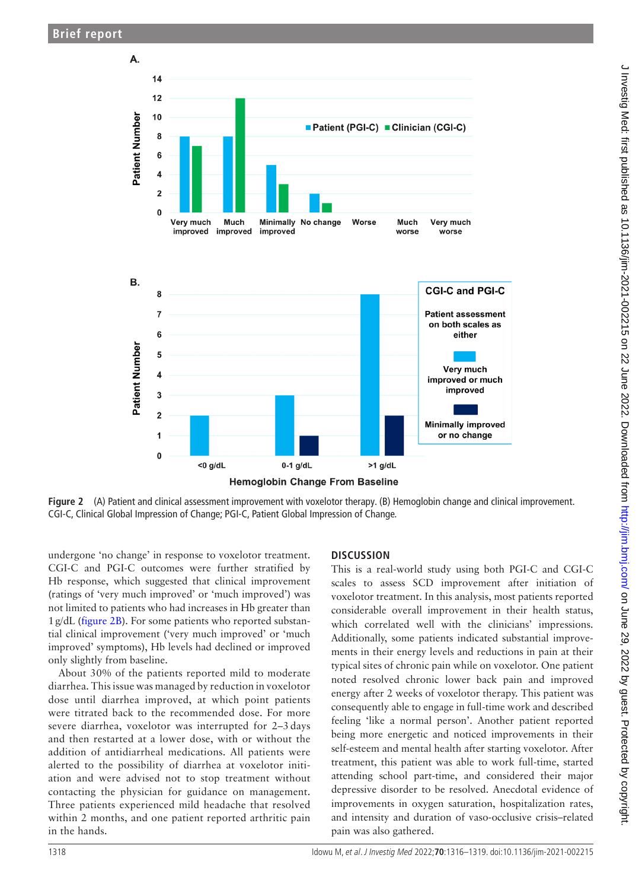

**Figure 2** (A) Patient and clinical assessment improvement with voxelotor therapy. (B) Hemoglobin change and clinical improvement. CGI-C, Clinical Global Impression of Change; PGI-C, Patient Global Impression of Change.

undergone 'no change' in response to voxelotor treatment. CGI-C and PGI-C outcomes were further stratified by Hb response, which suggested that clinical improvement (ratings of 'very much improved' or 'much improved') was not limited to patients who had increases in Hb greater than 1g/dL ([figure](#page-2-0) 2B). For some patients who reported substantial clinical improvement ('very much improved' or 'much improved' symptoms), Hb levels had declined or improved only slightly from baseline.

About 30% of the patients reported mild to moderate diarrhea. This issue was managed by reduction in voxelotor dose until diarrhea improved, at which point patients were titrated back to the recommended dose. For more severe diarrhea, voxelotor was interrupted for 2–3 days and then restarted at a lower dose, with or without the addition of antidiarrheal medications. All patients were alerted to the possibility of diarrhea at voxelotor initiation and were advised not to stop treatment without contacting the physician for guidance on management. Three patients experienced mild headache that resolved within 2 months, and one patient reported arthritic pain in the hands.

# <span id="page-2-0"></span>**DISCUSSION**

This is a real-world study using both PGI-C and CGI-C scales to assess SCD improvement after initiation of voxelotor treatment. In this analysis, most patients reported considerable overall improvement in their health status, which correlated well with the clinicians' impressions. Additionally, some patients indicated substantial improvements in their energy levels and reductions in pain at their typical sites of chronic pain while on voxelotor. One patient noted resolved chronic lower back pain and improved energy after 2 weeks of voxelotor therapy. This patient was consequently able to engage in full-time work and described feeling 'like a normal person'. Another patient reported being more energetic and noticed improvements in their self-esteem and mental health after starting voxelotor. After treatment, this patient was able to work full-time, started attending school part-time, and considered their major depressive disorder to be resolved. Anecdotal evidence of improvements in oxygen saturation, hospitalization rates, and intensity and duration of vaso-occlusive crisis–related pain was also gathered.